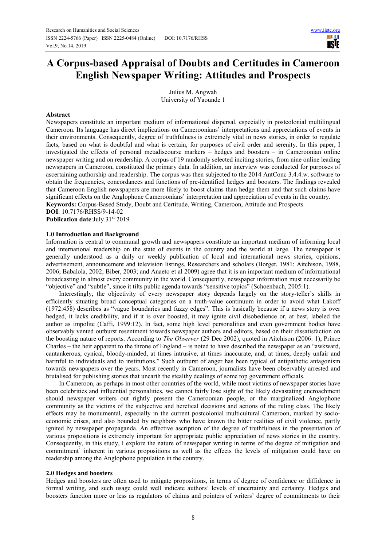# **A Corpus-based Appraisal of Doubts and Certitudes in Cameroon English Newspaper Writing: Attitudes and Prospects**

Julius M. Angwah University of Yaounde 1

# **Abstract**

Newspapers constitute an important medium of informational dispersal, especially in postcolonial multilingual Cameroon. Its language has direct implications on Cameroonians' interpretations and appreciations of events in their environments. Consequently, degree of truthfulness is extremely vital in news stories, in order to regulate facts, based on what is doubtful and what is certain, for purposes of civil order and serenity. In this paper, I investigated the effects of personal metadiscourse markers – hedges and boosters – in Cameroonian online newspaper writing and on readership. A corpus of 19 randomly selected inciting stories, from nine online leading newspapers in Cameroon, constituted the primary data. In addition, an interview was conducted for purposes of ascertaining authorship and readership. The corpus was then subjected to the 2014 AntConc 3.4.4.w. software to obtain the frequencies, concordances and functions of pre-identified hedges and boosters. The findings revealed that Cameroon English newspapers are more likely to boost claims than hedge them and that such claims have significant effects on the Anglophone Cameroonians' interpretation and appreciation of events in the country. **Keywords:** Corpus-Based Study, Doubt and Certitude, Writing, Cameroon, Attitude and Prospects

**DOI**: 10.7176/RHSS/9-14-02

Publication date: July 31<sup>st</sup> 2019

#### **1.0 Introduction and Background**

Information is central to communal growth and newspapers constitute an important medium of informing local and international readership on the state of events in the country and the world at large. The newspaper is generally understood as a daily or weekly publication of local and international news stories, opinions, advertisement, announcement and television listings. Researchers and scholars (Borget, 1981; Aitchison, 1988, 2006; Babalola, 2002; Biber, 2003; and Anaeto et al 2009) agree that it is an important medium of informational broadcasting in almost every community in the world. Consequently, newspaper information must necessarily be "objective" and "subtle", since it tilts public agenda towards "sensitive topics" (Schoenbach, 2005:1).

Interestingly, the objectivity of every newspaper story depends largely on the story-teller's skills in efficiently situating broad conceptual categories on a truth-value continuum in order to avoid what Lakoff (1972:458) describes as "vague boundaries and fuzzy edges". This is basically because if a news story is over hedged, it lacks credibility, and if it is over boosted, it may ignite civil disobedience or, at best, labeled the author as impolite (Caffi, 1999:12). In fact, some high level personalities and even government bodies have observably vented outburst resentment towards newspaper authors and editors, based on their dissatisfaction on the boosting nature of reports. According to *The Observer* (29 Dec 2002), quoted in Aitchison (2006: 1), Prince Charles – the heir apparent to the throne of England – is noted to have described the newspaper as an "awkward, cantankerous, cynical, bloody-minded, at times intrusive, at times inaccurate, and, at times, deeply unfair and harmful to individuals and to institutions." Such outburst of anger has been typical of antipathetic antagonism towards newspapers over the years. Most recently in Cameroon, journalists have been observably arrested and brutalised for publishing stories that unearth the stealthy dealings of some top government officials.

In Cameroon, as perhaps in most other countries of the world, while most victims of newspaper stories have been celebrities and influential personalities, we cannot fairly lose sight of the likely devastating encroachment should newspaper writers out rightly present the Cameroonian people, or the marginalized Anglophone community as the victims of the subjective and heretical decisions and actions of the ruling class. The likely effects may be monumental, especially in the current postcolonial multicultural Cameroon, marked by socioeconomic crises, and also bounded by neighbors who have known the bitter realities of civil violence, partly ignited by newspaper propaganda. An effective ascription of the degree of truthfulness in the presentation of various propositions is extremely important for appropriate public appreciation of news stories in the country. Consequently, in this study, I explore the nature of newspaper writing in terms of the degree of mitigation and commitment` inherent in various propositions as well as the effects the levels of mitigation could have on readership among the Anglophone population in the country.

#### **2.0 Hedges and boosters**

Hedges and boosters are often used to mitigate propositions, in terms of degree of confidence or diffidence in formal writing, and such usage could well indicate authors' levels of uncertainty and certainty. Hedges and boosters function more or less as regulators of claims and pointers of writers' degree of commitments to their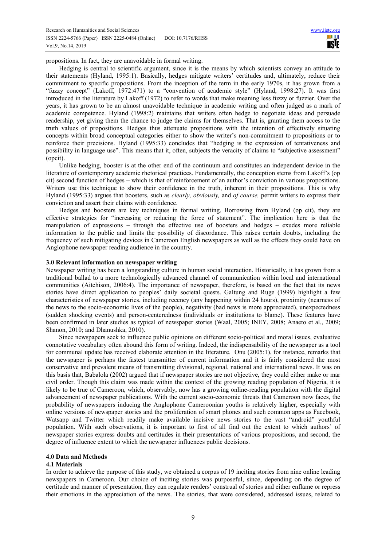propositions. In fact, they are unavoidable in formal writing.

Hedging is central to scientific argument, since it is the means by which scientists convey an attitude to their statements (Hyland, 1995:1). Basically, hedges mitigate writers' certitudes and, ultimately, reduce their commitment to specific propositions. From the inception of the term in the early 1970s, it has grown from a "fuzzy concept" (Lakoff, 1972:471) to a "convention of academic style" (Hyland, 1998:27). It was first introduced in the literature by Lakoff (1972) to refer to words that make meaning less fuzzy or fuzzier. Over the years, it has grown to be an almost unavoidable technique in academic writing and often judged as a mark of academic competence. Hyland (1998:2) maintains that writers often hedge to negotiate ideas and persuade readership, yet giving them the chance to judge the claims for themselves. That is, granting them access to the truth values of propositions. Hedges thus attenuate propositions with the intention of effectively situating concepts within broad conceptual categories either to show the writer's non-commitment to propositions or to reinforce their precisions. Hyland (1995:33) concludes that "hedging is the expression of tentativeness and possibility in language use". This means that it, often, subjects the veracity of claims to "subjective assessment" (opcit).

Unlike hedging, booster is at the other end of the continuum and constitutes an independent device in the literature of contemporary academic rhetorical practices. Fundamentally, the conception stems from Lakoff's (op cit) second function of hedges – which is that of reinforcement of an author's conviction in various propositions. Writers use this technique to show their confidence in the truth, inherent in their propositions. This is why Hyland (1995:33) argues that boosters, such as *clearly, obviously,* and *of course,* permit writers to express their conviction and assert their claims with confidence.

Hedges and boosters are key techniques in formal writing. Borrowing from Hyland (op cit), they are effective strategies for "increasing or reducing the force of statement". The implication here is that the manipulation of expressions – through the effective use of boosters and hedges – exudes more reliable information to the public and limits the possibility of discordance. This raises certain doubts, including the frequency of such mitigating devices in Cameroon English newspapers as well as the effects they could have on Anglophone newspaper reading audience in the country.

#### **3.0 Relevant information on newspaper writing**

Newspaper writing has been a longstanding culture in human social interaction. Historically, it has grown from a traditional ballad to a more technologically advanced channel of communication within local and international communities (Aitchison, 2006:4). The importance of newspaper, therefore, is based on the fact that its news stories have direct application to peoples' daily societal quests. Galtung and Ruge (1999) highlight a few characteristics of newspaper stories, including recency (any happening within 24 hours), proximity (nearness of the news to the socio-economic lives of the people), negativity (bad news is more appreciated), unexpectedness (sudden shocking events) and person-centeredness (individuals or institutions to blame). These features have been confirmed in later studies as typical of newspaper stories (Waal, 2005; INEY, 2008; Anaeto et al., 2009; Shanon, 2010; and Dhanushka, 2010).

Since newspapers seek to influence public opinions on different socio-political and moral issues, evaluative connotative vocabulary often abound this form of writing. Indeed, the indispensability of the newspaper as a tool for communal update has received elaborate attention in the literature. Onu (2005:1), for instance, remarks that the newspaper is perhaps the fastest transmitter of current information and it is fairly considered the most conservative and prevalent means of transmitting divisional, regional, national and international news. It was on this basis that, Babalola (2002) argued that if newspaper stories are not objective, they could either make or mar civil order. Though this claim was made within the context of the growing reading population of Nigeria, it is likely to be true of Cameroon, which, observably, now has a growing online-reading population with the digital advancement of newspaper publications. With the current socio-economic threats that Cameroon now faces, the probability of newspapers inducing the Anglophone Cameroonian youths is relatively higher, especially with online versions of newspaper stories and the proliferation of smart phones and such common apps as Facebook, Watsapp and Twitter which readily make available incisive news stories to the vast "android" youthful population. With such observations, it is important to first of all find out the extent to which authors' of newspaper stories express doubts and certitudes in their presentations of various propositions, and second, the degree of influence extent to which the newspaper influences public decisions.

#### **4.0 Data and Methods**

# **4.1 Materials**

In order to achieve the purpose of this study, we obtained a corpus of 19 inciting stories from nine online leading newspapers in Cameroon. Our choice of inciting stories was purposeful, since, depending on the degree of certitude and manner of presentation, they can regulate readers' construal of stories and either enflame or repress their emotions in the appreciation of the news. The stories, that were considered, addressed issues, related to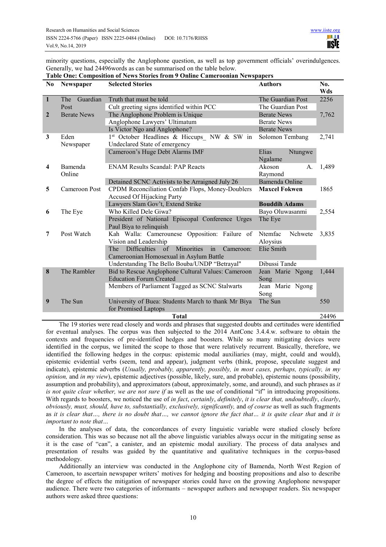minority questions, especially the Anglophone question, as well as top government officials' overindulgences. Generally, we had 24496words as can be summarised on the table below.

**Table One: Composition of News Stories from 9 Online Cameroonian Newspapers** 

| N <sub>0</sub>          | <b>Newspaper</b>   | <b>Selected Stories</b>                                                     | <b>Authors</b>              | No.<br>Wds |
|-------------------------|--------------------|-----------------------------------------------------------------------------|-----------------------------|------------|
| $\mathbf{1}$            | Guardian<br>The    | Truth that must be told                                                     | The Guardian Post           | 2256       |
|                         | Post               | Cult greeting signs identified within PCC                                   | The Guardian Post           |            |
| $\overline{2}$          | <b>Berate News</b> | The Anglophone Problem is Unique                                            | <b>Berate News</b>          | 7,762      |
|                         |                    | Anglophone Lawyers' Ultimatum                                               | <b>Berate News</b>          |            |
|                         |                    | Is Victor Ngo and Anglophone?                                               | <b>Berate News</b>          |            |
| 3                       | Eden               | 1 <sup>st</sup> October Headlines & Hiccups NW & SW in                      | Solomon Tembang             | 2,741      |
|                         | Newspaper          | Undeclared State of emergency                                               |                             |            |
|                         |                    | Cameroon's Huge Debt Alarms IMF                                             | Elias<br>Ntungwe<br>Ngalame |            |
| $\overline{\mathbf{4}}$ | Bamenda<br>Online  | <b>ENAM Results Scandal: PAP Reacts</b>                                     | Akoson<br>A.<br>Raymond     | 1,489      |
|                         |                    | Detained SCNC Activists to be Arraigned July 26                             | Bamenda Online              |            |
| 5                       | Cameroon Post      | CPDM Reconciliation Confab Flops, Money-Doublers                            | <b>Maxcel Fokwen</b>        | 1865       |
|                         |                    | <b>Accused Of Hijacking Party</b>                                           |                             |            |
|                         |                    | Lawyers Slam Gov't, Extend Strike                                           | <b>Bouddih Adams</b>        |            |
|                         |                    |                                                                             |                             |            |
| 6                       |                    | Who Killed Dele Giwa?                                                       |                             |            |
|                         | The Eye            |                                                                             | Bayo Oluwasanmi             | 2,554      |
|                         |                    | President of National Episcopal Conference Urges<br>Paul Biya to relinquish | The Eye                     |            |
| 7                       | Post Watch         |                                                                             | Ntemfac<br>Nchwete          | 3,835      |
|                         |                    | Kah Walla: Camerounese Opposition: Failure of<br>Vision and Leadership      | Aloysius                    |            |
|                         |                    | Minorities<br><b>Difficulties</b><br>of<br>The<br>Cameroon:<br>in           | Elie Smith                  |            |
|                         |                    | Cameroonian Homosexual in Asylum Battle                                     |                             |            |
|                         |                    | Understanding The Bello Bouba/UNDP "Betrayal"                               | Dibussi Tande               |            |
| 8                       | The Rambler        | Bid to Rescue Anglophone Cultural Values: Cameroon                          | Jean Marie Ngong            | 1,444      |
|                         |                    | <b>Education Forum Created</b>                                              | Song                        |            |
|                         |                    | Members of Parliament Tagged as SCNC Stalwarts                              | Jean Marie Ngong            |            |
|                         |                    |                                                                             | Song                        |            |
| 9                       | The Sun            | University of Buea: Students March to thank Mr Biya<br>for Promised Laptops | The Sun                     | 550        |

The 19 stories were read closely and words and phrases that suggested doubts and certitudes were identified for eventual analyses. The corpus was then subjected to the 2014 AntConc 3.4.4.w. software to obtain the contexts and frequencies of pre-identified hedges and boosters. While so many mitigating devices were identified in the corpus, we limited the scope to those that were relatively recurrent. Basically, therefore, we identified the following hedges in the corpus: epistemic modal auxiliaries (may, might, could and would), epistemic evidential verbs (seem, tend and appear), judgment verbs (think, propose, speculate suggest and indicate), epistemic adverbs (*Usually, probably, apparently, possibly, in most cases, perhaps, typically, in my opinion,* and *in my view*), epistemic adjectives (possible, likely, sure, and probable), epistemic nouns (possibility, assumption and probability), and approximators (about, approximately, some, and around), and such phrases as *it is not quite clear whether, we are not sure if* as well as the use of conditional "if" in introducing propositions. With regards to boosters, we noticed the use of *in fact*, *certainly*, *definitely*, *it is clear that, undoubtedly*, *clearly*, *obviously, must, should, have to, substantially, exclusively, significantly,* and *of course* as well as such fragments as *it is clear that..., there is no doubt that..., we cannot ignore the fact that... it is quite clear that and it is important to note that…* 

In the analyses of data, the concordances of every linguistic variable were studied closely before consideration. This was so because not all the above linguistic variables always occur in the mitigating sense as it is the case of "can", a canister, and an epistemic modal auxiliary. The process of data analyses and presentation of results was guided by the quantitative and qualitative techniques in the corpus-based methodology.

Additionally an interview was conducted in the Anglophone city of Bamenda, North West Region of Cameroon, to ascertain newspaper writers' motives for hedging and boosting propositions and also to describe the degree of effects the mitigation of newspaper stories could have on the growing Anglophone newspaper audience. There were two categories of informants – newspaper authors and newspaper readers. Six newspaper authors were asked three questions: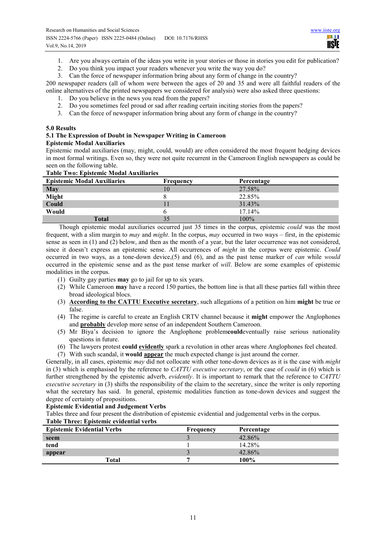- 1. Are you always certain of the ideas you write in your stories or those in stories you edit for publication?
- 2. Do you think you impact your readers whenever you write the way you do?
- 3. Can the force of newspaper information bring about any form of change in the country?

200 newspaper readers (all of whom were between the ages of 20 and 35 and were all faithful readers of the online alternatives of the printed newspapers we considered for analysis) were also asked three questions:

- 1. Do you believe in the news you read from the papers?
- 2. Do you sometimes feel proud or sad after reading certain inciting stories from the papers?
- 3. Can the force of newspaper information bring about any form of change in the country?

# **5.0 Results**

# **5.1 The Expression of Doubt in Newspaper Writing in Cameroon Epistemic Modal Auxiliaries**

Epistemic modal auxiliaries (may, might, could, would) are often considered the most frequent hedging devices in most formal writings. Even so, they were not quite recurrent in the Cameroon English newspapers as could be seen on the following table.

# **Table Two: Epistemic Modal Auxiliaries**

| <b>Epistemic Modal Auxiliaries</b> | Frequency | Percentage |
|------------------------------------|-----------|------------|
| May                                | 10        | 27.58%     |
| <b>Might</b><br>Could              |           | 22.85%     |
|                                    |           | 31.43%     |
| Would                              |           | 17.14%     |
| <b>Total</b>                       |           | $100\%$    |

Though epistemic modal auxiliaries occurred just 35 times in the corpus, epistemic *could* was the most frequent, with a slim margin to *may* and *might*. In the corpus, *may* occurred in two ways – first, in the epistemic sense as seen in (1) and (2) below, and then as the month of a year, but the later occurrence was not considered, since it doesn't express an epistemic sense. All occurrences of *might* in the corpus were epistemic. *Could* occurred in two ways, as a tone-down device,(5) and (6), and as the past tense marker of *can* while *would* occurred in the epistemic sense and as the past tense marker of *will*. Below are some examples of epistemic modalities in the corpus.

- (1) Guilty gay parties **may** go to jail for up to six years.
- (2) While Cameroon **may** have a record 150 parties, the bottom line is that all these parties fall within three broad ideological blocs.
- (3) **According to the CATTU Executive secretary**, such allegations of a petition on him **might** be true or false.
- (4) The regime is careful to create an English CRTV channel because it **might** empower the Anglophones and **probably** develop more sense of an independent Southern Cameroon.
- (5) Mr Biya's decision to ignore the Anglophone problem**could**eventually raise serious nationality questions in future.
- (6) The lawyers protest **could evidently** spark a revolution in other areas where Anglophones feel cheated.
- (7) With such scandal, it **would appear** the much expected change is just around the corner.

Generally, in all cases, epistemic *may* did not collocate with other tone-down devices as it is the case with *might* in (3) which is emphasised by the reference to *CATTU executive secretary*, or the case of *could* in (6) which is further strengthened by the epistemic adverb, *evidently*. It is important to remark that the reference to *CATTU executive secretary* in (3) shifts the responsibility of the claim to the secretary, since the writer is only reporting what the secretary has said. In general, epistemic modalities function as tone-down devices and suggest the degree of certainty of propositions.

#### **Epistemic Evidential and Judgement Verbs**

Tables three and four present the distribution of epistemic evidential and judgemental verbs in the corpus.

# **Table Three: Epistemic evidential verbs**

| <b>Epistemic Evidential Verbs</b> | <b>Frequency</b> | Percentage |
|-----------------------------------|------------------|------------|
| seem                              |                  | 42.86%     |
| tend                              |                  | 14.28%     |
| appear                            |                  | 42.86%     |
| Total                             |                  | 100%       |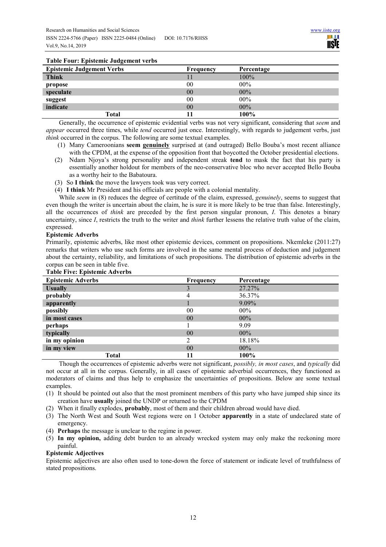# **Table Four: Epistemic Judgement verbs**

| $1.0010 \pm 0.011$ , $\Delta p$ 1010111110 0.000 0.11101110 1.01100 |           |            |
|---------------------------------------------------------------------|-----------|------------|
| <b>Epistemic Judgement Verbs</b>                                    | Frequency | Percentage |
| <b>Think</b>                                                        |           | $100\%$    |
| propose                                                             | 00        | $00\%$     |
| speculate                                                           | 00        | $00\%$     |
| suggest                                                             | 00        | $00\%$     |
| indicate                                                            | 00        | $00\%$     |
| Total                                                               |           | 100%       |

Generally, the occurrence of epistemic evidential verbs was not very significant, considering that *seem* and *appear* occurred three times, while *tend* occurred just once. Interestingly, with regards to judgement verbs, just *think* occurred in the corpus. The following are some textual examples.

- (1) Many Cameroonians **seem genuinely** surprised at (and outraged) Bello Bouba's most recent alliance with the CPDM, at the expense of the opposition front that boycotted the October presidential elections.
- (2) Ndam Njoya's strong personality and independent streak **tend** to mask the fact that his party is essentially another holdout for members of the neo-conservative bloc who never accepted Bello Bouba as a worthy heir to the Babatoura.
- (3) So **I think** the move the lawyers took was very correct.
- (4) **I think** Mr President and his officials are people with a colonial mentality.

While *seem* in (8) reduces the degree of certitude of the claim, expressed, *genuinely*, seems to suggest that even though the writer is uncertain about the claim, he is sure it is more likely to be true than false. Interestingly, all the occurrences of *think* are preceded by the first person singular pronoun, *I*. This denotes a binary uncertainty, since *I*, restricts the truth to the writer and *think* further lessens the relative truth value of the claim, expressed.

# **Epistemic Adverbs**

Primarily, epistemic adverbs, like most other epistemic devices, comment on propositions. Nkemleke (2011:27) remarks that writers who use such forms are involved in the same mental process of deduction and judgement about the certainty, reliability, and limitations of such propositions. The distribution of epistemic adverbs in the corpus can be seen in table five.

| $\frac{1}{2}$                        |
|--------------------------------------|
| <b>Table Five: Epistemic Adverbs</b> |

| <b>Epistemic Adverbs</b> | Frequency | Percentage |
|--------------------------|-----------|------------|
| <b>Usually</b>           |           | 27.27%     |
| probably                 | 4         | 36.37%     |
| apparently               |           | 9.09%      |
| possibly                 | 00        | $00\%$     |
| in most cases            | 00        | $00\%$     |
| perhaps                  |           | 9.09       |
| typically                | 00        | $00\%$     |
| in my opinion            | ∍         | 18.18%     |
| in my view               | 00        | $00\%$     |
| <b>Total</b>             |           | 100%       |

Though the occurrences of epistemic adverbs were not significant, *possibly, in most cases*, and *typically* did not occur at all in the corpus. Generally, in all cases of epistemic adverbial occurrences, they functioned as moderators of claims and thus help to emphasize the uncertainties of propositions. Below are some textual examples.

- (1) It should be pointed out also that the most prominent members of this party who have jumped ship since its creation have **usually** joined the UNDP or returned to the CPDM
- (2) When it finally explodes, **probably**, most of them and their children abroad would have died.
- (3) The North West and South West regions were on 1 October **apparently** in a state of undeclared state of emergency.
- (4) **Perhaps** the message is unclear to the regime in power.
- (5) **In my opinion,** adding debt burden to an already wrecked system may only make the reckoning more painful.

#### **Epistemic Adjectives**

Epistemic adjectives are also often used to tone-down the force of statement or indicate level of truthfulness of stated propositions.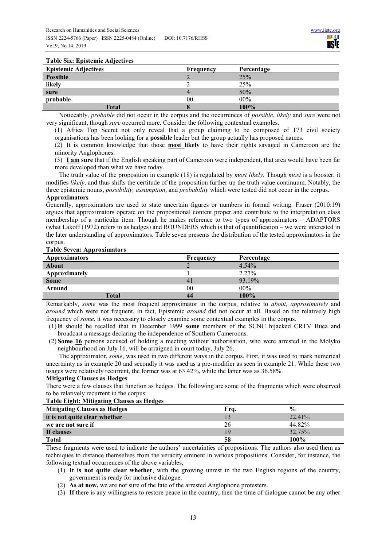#### **Table Six: Epistemic Adjectives**

| $1.0010$ $0.01$ , $1.0000$ $0.0001$<br><b>Epistemic Adjectives</b> | Frequency | Percentage |
|--------------------------------------------------------------------|-----------|------------|
| <b>Possible</b>                                                    |           | 25%        |
| likely                                                             |           | 25%        |
| sure                                                               | 4         | 50%        |
| probable                                                           | 00        | $00\%$     |
| <b>Total</b>                                                       | O         | 100%       |

Noticeably, *probable* did not occur in the corpus and the occurrences of *possible*, *likely* and *sure* were not very significant, though *sure* occurred more. Consider the following contextual examples.

(1) Africa Top Secret not only reveal that a group claiming to be composed of 173 civil society organisations has been looking for a **possible** leader but the group actually has proposed names.

(2) It is common knowledge that those **most likely** to have their rights savaged in Cameroon are the minority Anglophones.

(3) **I am sure** that if the English speaking part of Cameroon were independent, that area would have been far more developed than what we have today.

The truth value of the proposition in example (18) is regulated by *most likely*. Though *most* is a booster, it modifies *likely*, and thus shifts the certitude of the proposition further up the truth value continuum. Notably, the three epistemic nouns, *possibility, assumption*, and *probability* which were tested did not occur in the corpus.

### **Approximators**

Generally, approximators are used to state uncertain figures or numbers in formal writing. Fraser (2010:19) argues that approximators operate on the propositional content proper and contribute to the interpretation class membership of a particular item. Though he makes reference to two types of approximators – ADAPTORS (what Lakoff (1972) refers to as hedges) and ROUNDERS which is that of quantification – we were interested in the later understanding of approximators. Table seven presents the distribution of the tested approximators in the corpus.

# **Table Seven: Approximators**

| <b>Approximators</b> | Frequency      | Percentage |
|----------------------|----------------|------------|
| About                |                | 4.54%      |
| Approximately        |                | 2.27%      |
| <b>Some</b>          | $\overline{4}$ | 93.19%     |
| Around               | 00             | $00\%$     |
| <b>Total</b>         |                | 100%       |

Remarkably, *some* was the most frequent approximator in the corpus, relative to *about, approximately* and *around* which were not frequent. In fact, Epistemic *around* did not occur at all. Based on the relatively high frequency of *some*, it was necessary to closely examine some contextual examples in the corpus.

(1)**It** should be recalled that in December 1999 **some** members of the SCNC hijacked CRTV Buea and broadcast a message declaring the independence of Southern Cameroons.

(2) **Some 16** persons accused of holding a meeting without authorisation, who were arrested in the Molyko neighbourhood on July 16, will be arraigned in court today, July 26.

The approximator, *some*, was used in two different ways in the corpus. First, it was used to mark numerical uncertainty as in example 20 and secondly it was used as a pre-modifier as seen in example 21. While these two usages were relatively recurrent, the former was at 63.42%, while the latter was as 36.58%.

#### **Mitigating Clauses as Hedges**

There were a few clauses that function as hedges. The following are some of the fragments which were observed to be relatively recurrent in the corpus:

#### **Table Eight: Mitigating Clauses as Hedges**

| <b>Mitigating Clauses as Hedges</b> | Fra. | $\frac{0}{0}$ |
|-------------------------------------|------|---------------|
| it is not quite clear whether       |      | 22.41%        |
| we are not sure if                  | 26   | 44.82%        |
| If clauses                          |      | 32.75%        |
| <b>Total</b>                        | 58   | 100%          |

These fragments were used to indicate the authors' uncertainties of propositions. The authors also used them as techniques to distance themselves from the veracity eminent in various propositions. Consider, for instance, the following textual occurrences of the above variables,

- (1) **It is not quite clear whether**, with the growing unrest in the two English regions of the country, government is ready for inclusive dialogue.
- (2) **As at now,** we are not sure of the fate of the arrested Anglophone protesters.
- (3) **If** there is any willingness to restore peace in the country, then the time of dialogue cannot be any other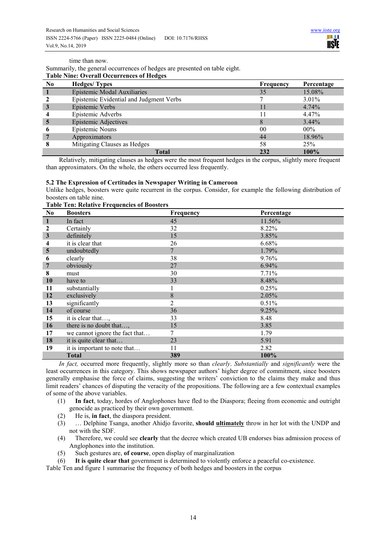time than now.

Summarily, the general occurrences of hedges are presented on table eight.

# **Table Nine: Overall Occurrences of Hedges**

| No | <b>Hedges/Types</b>                     | Frequency | Percentage |
|----|-----------------------------------------|-----------|------------|
|    | Epistemic Modal Auxiliaries             | 35        | 15.08%     |
|    | Epistemic Evidential and Judgment Verbs |           | $3.01\%$   |
| 3  | Epistemic Verbs                         | 11        | $4.74\%$   |
|    | Epistemic Adverbs                       |           | 4.47%      |
| 5  | Epistemic Adjectives                    | 8         | $3.44\%$   |
| o  | Epistemic Nouns                         | 00        | $00\%$     |
|    | Approximators                           | 44        | 18.96%     |
|    | Mitigating Clauses as Hedges            | 58        | 25%        |
|    | <b>Total</b>                            | 232       | 100%       |

Relatively, mitigating clauses as hedges were the most frequent hedges in the corpus, slightly more frequent than approximators. On the whole, the others occurred less frequently.

#### **5.2 The Expression of Certitudes in Newspaper Writing in Cameroon**

Unlike hedges, boosters were quite recurrent in the corpus. Consider, for example the following distribution of boosters on table nine.

| N <sub>0</sub>          | Table Ten. Kelative Prequencies of Doosters<br><b>Boosters</b> | <b>Frequency</b> | Percentage |
|-------------------------|----------------------------------------------------------------|------------------|------------|
| 1                       | In fact                                                        | 45               | 11.56%     |
| 2                       | Certainly                                                      | 32               | 8.22%      |
| $\mathbf{3}$            | definitely                                                     | 15               | 3.85%      |
| 4                       | it is clear that                                               | 26               | 6.68%      |
| $\overline{\mathbf{5}}$ | undoubtedly                                                    | 7                | 1.79%      |
| 6                       | clearly                                                        | 38               | 9.76%      |
|                         | obviously                                                      | 27               | 6.94%      |
| 8                       | must                                                           | 30               | 7.71%      |
| <b>10</b>               | have to                                                        | 33               | 8.48%      |
| 11                      | substantially                                                  |                  | 0.25%      |
| 12                      | exclusively                                                    | 8                | 2.05%      |
| 13                      | significantly                                                  | 2                | 0.51%      |
| 14                      | of course                                                      | 36               | 9.25%      |
| 15                      | it is clear that,                                              | 33               | 8.48       |
| 16                      | there is no doubt that,                                        | 15               | 3.85       |
| 17                      | we cannot ignore the fact that                                 | 7                | 1.79       |
| 18                      | it is quite clear that                                         | 23               | 5.91       |
| 19                      | it is important to note that                                   | 11               | 2.82       |
|                         | <b>Total</b>                                                   | 389              | 100%       |

*In fact,* occurred more frequently, slightly more so than *clearly*. *Substantially* and *significantly* were the least occurrences in this category. This shows newspaper authors' higher degree of commitment, since boosters generally emphasise the force of claims, suggesting the writers' conviction to the claims they make and thus limit readers' chances of disputing the veracity of the propositions. The following are a few contextual examples of some of the above variables.

- (1) **In fact**, today, hordes of Anglophones have fled to the Diaspora; fleeing from economic and outright genocide as practiced by their own government.
- (2) He is, **in fact**, the diaspora president.
- (3) … Delphine Tsanga, another Ahidjo favorite, **should ultimately** throw in her lot with the UNDP and not with the SDF.
- (4) Therefore, we could see **clearly** that the decree which created UB endorses bias admission process of Anglophones into the institution.
- (5) Such gestures are, **of course**, open display of marginalization
- (6) **It is quite clear that** government is determined to violently enforce a peaceful co-existence.

Table Ten and figure 1 summarise the frequency of both hedges and boosters in the corpus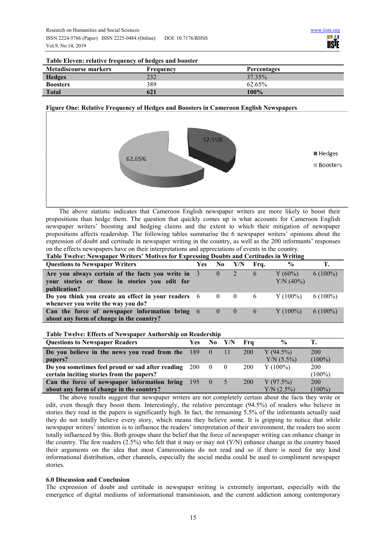**Percentages** 

| Table Eleven: relative frequency of hedges and booster |     |         |  |  |  |  |  |
|--------------------------------------------------------|-----|---------|--|--|--|--|--|
| Metadiscourse markers<br>Frequency                     |     | Percent |  |  |  |  |  |
| <b>Hedges</b>                                          | 232 | 37.35%  |  |  |  |  |  |

**Boosters** 62.65% **Total** 100% **621** 100%

# **Figure One: Relative Frequency of Hedges and Boosters in Cameroon English Newspapers**



The above statistic indicates that Cameroon English newspaper writers are more likely to boost their propositions than hedge them. The question that quickly comes up is what accounts for Cameroon English newspaper writers' boosting and hedging claims and the extent to which their mitigation of newspaper propositions affects readership. The following tables summarise the 6 newspaper writers' opinions about the expression of doubt and certitude in newspaper writing in the country, as well as the 200 informants' responses on the effects newspapers have on their interpretations and appreciations of events in the country.

**Table Twelve: Newspaper Writers' Motives for Expressing Doubts and Certitudes in Writing** 

| <b>Questions to Newspaper Writers</b>                                                                               | <b>Yes</b> | No.                                    | Y/N        | Fra.          | $\frac{0}{0}$             |            |
|---------------------------------------------------------------------------------------------------------------------|------------|----------------------------------------|------------|---------------|---------------------------|------------|
| Are you always certain of the facts you write in 3<br>your stories or those in stories you edit for<br>publication? |            |                                        | $\sqrt{2}$ | $\mathfrak b$ | $Y(60\%)$<br>$Y/N (40\%)$ | $6(100\%)$ |
| Do you think you create an effect in your readers $6 \t 0$<br>whenever you write the way you do?                    |            |                                        | $\sim$ 0   | 6             | $Y(100\%)$                | $6(100\%)$ |
| Can the force of newspaper information bring 6<br>about any form of change in the country?                          |            | $\begin{array}{ccc} & & 0 \end{array}$ | $\sim 0$   | $\mathbf{6}$  | $Y(100\%)$                | $6(100\%)$ |

#### **Table Twelve: Effects of Newspaper Authorship on Readership**

| <b>Questions to Newspaper Readers</b>                   | Yes             |           | $No$ $Y/N$ | - Fra      | $\frac{0}{0}$ |            |  |
|---------------------------------------------------------|-----------------|-----------|------------|------------|---------------|------------|--|
| Do you believe in the news you read from the $189 \t 0$ |                 |           | -11        | 200        | $Y(94.5\%)$   | 200        |  |
| papers?                                                 |                 |           |            |            | $Y/N (5.5\%)$ | $(100\%)$  |  |
| Do you sometimes feel proud or sad after reading 200    |                 | $\cdot$ 0 |            | <b>200</b> | $Y(100\%)$    | <b>200</b> |  |
| certain inciting stories from the papers?               |                 |           |            |            |               | $(100\%)$  |  |
| Can the force of newspaper information bring            | $195 \t 0 \t 5$ |           |            | 200        | $Y(97.5\%)$   | 200        |  |
| about any form of change in the country?                |                 |           |            |            | $Y/N$ (2.5%)  | $(100\%)$  |  |

The above results suggest that newspaper writers are not completely certain about the facts they write or edit, even though they boost them. Interestingly, the relative percentage (94.5%) of readers who believe in stories they read in the papers is significantly high. In fact, the remaining 5.5% of the informants actually said they do not totally believe every story, which means they believe some. It is gripping to notice that while newspaper writers' intention is to influence the readers' interpretation of their environment, the readers too seem totally influenced by this. Both groups share the belief that the force of newspaper writing can enhance change in the country. The few readers  $(2.5\%)$  who felt that it may or may not  $(Y/N)$  enhance change in the country based their arguments on the idea that most Cameroonians do not read and so if there is need for any kind informational distribution, other channels, especially the social media could be used to compliment newspaper stories.

# **6.0 Discussion and Conclusion**

The expression of doubt and certitude in newspaper writing is extremely important, especially with the emergence of digital mediums of informational transmission, and the current addiction among contemporary